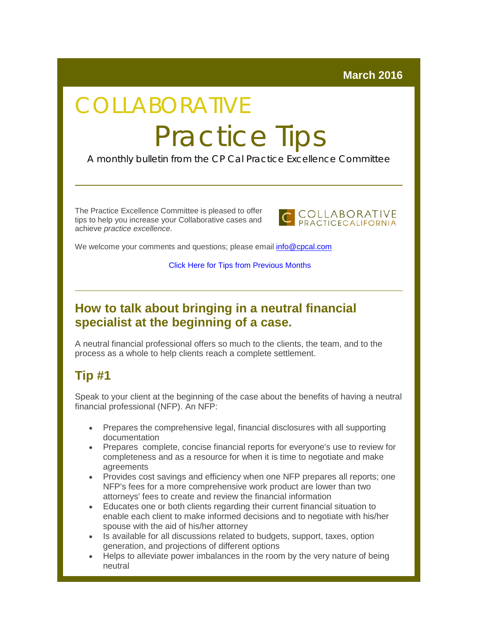#### **March 2016**

# COLLABORATIVE Practice Tips

A monthly bulletin from the CP Cal Practice Excellence Committee

The Practice Excellence Committee is pleased to offer tips to help you increase your Collaborative cases and achieve *practice excellence.*



We welcome your comments and questions; please email [info@cpcal.com](mailto:info@cpcal.com)

[Click Here for Tips from Previous Months](http://r20.rs6.net/tn.jsp?f=001BkZ150GOR_a1CNTALG9VLJuLBQP3U7Np_Xb-rBdH-w5dhDDl1tB4fnlH-86saw2IXD-uKJ2p_uyr3FuvfTh1xx-_NUgwhpjg1vohqYjvgt---TuLHa9pVSjiBnGyz1FzHPbTGjhP5I7iirdNu-MGpv95aj6x2IFVC_LsfB305S9HlrZcS-Ndv572ssyVIUsws3vdYeggaz7BmtIUgCBEyWNHCTvwaHmE&c=3la53QV3Xp0GFMLQ_VCI8dvITXRVYlrejHiTwtOw8NYYJRQAuG0TFg==&ch=cV7WOUJpmaLV0XVhATQ7c8i9Xg_4vmMsiZBfvLIAdN5Nvm1bIdCpzg==)

### **How to talk about bringing in a neutral financial specialist at the beginning of a case.**

A neutral financial professional offers so much to the clients, the team, and to the process as a whole to help clients reach a complete settlement.

## **Tip #1**

Speak to your client at the beginning of the case about the benefits of having a neutral financial professional (NFP). An NFP:

- Prepares the comprehensive legal, financial disclosures with all supporting documentation
- Prepares complete, concise financial reports for everyone's use to review for completeness and as a resource for when it is time to negotiate and make agreements
- Provides cost savings and efficiency when one NFP prepares all reports; one NFP's fees for a more comprehensive work product are lower than two attorneys' fees to create and review the financial information
- Educates one or both clients regarding their current financial situation to enable each client to make informed decisions and to negotiate with his/her spouse with the aid of his/her attorney
- Is available for all discussions related to budgets, support, taxes, option generation, and projections of different options
- Helps to alleviate power imbalances in the room by the very nature of being neutral